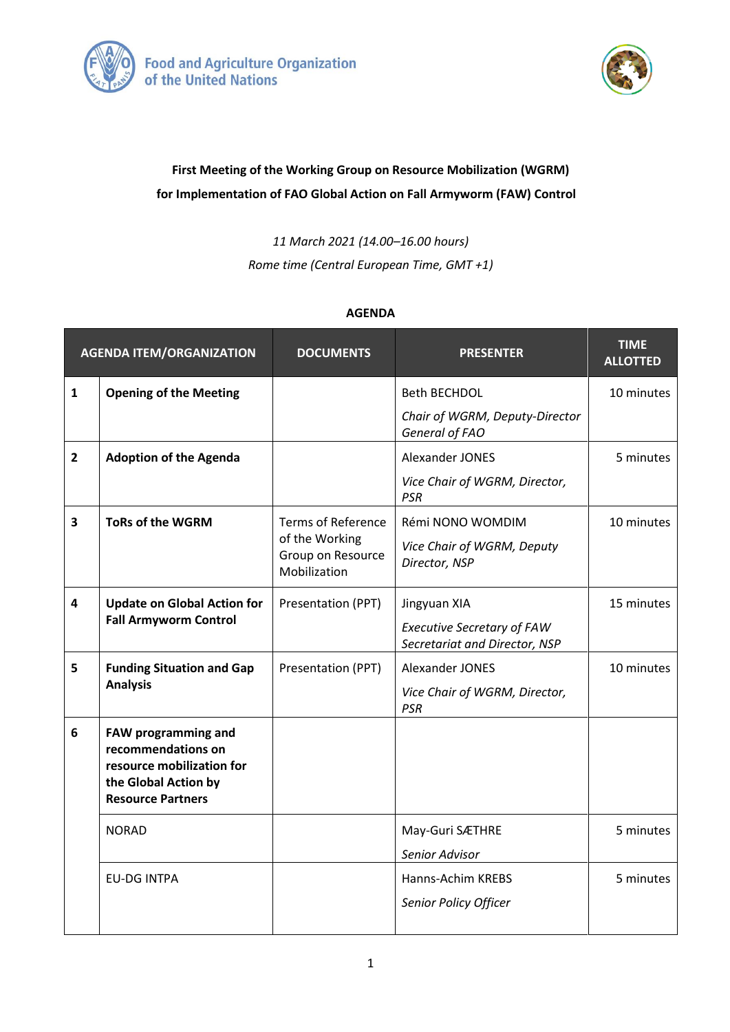



## **First Meeting of the Working Group on Resource Mobilization (WGRM) for Implementation of FAO Global Action on Fall Armyworm (FAW) Control**

*11 March 2021 (14.00–16.00 hours)*

*Rome time (Central European Time, GMT +1)*

## **AGENDA**

| <b>AGENDA ITEM/ORGANIZATION</b> |                                                                                                                            | <b>DOCUMENTS</b>                                                                 | <b>PRESENTER</b>                                                                   | <b>TIME</b><br><b>ALLOTTED</b> |
|---------------------------------|----------------------------------------------------------------------------------------------------------------------------|----------------------------------------------------------------------------------|------------------------------------------------------------------------------------|--------------------------------|
| $\mathbf{1}$                    | <b>Opening of the Meeting</b>                                                                                              |                                                                                  | <b>Beth BECHDOL</b><br>Chair of WGRM, Deputy-Director<br>General of FAO            | 10 minutes                     |
| $\overline{2}$                  | <b>Adoption of the Agenda</b>                                                                                              |                                                                                  | Alexander JONES<br>Vice Chair of WGRM, Director,<br><b>PSR</b>                     | 5 minutes                      |
| 3                               | <b>ToRs of the WGRM</b>                                                                                                    | <b>Terms of Reference</b><br>of the Working<br>Group on Resource<br>Mobilization | Rémi NONO WOMDIM<br>Vice Chair of WGRM, Deputy<br>Director, NSP                    | 10 minutes                     |
| $\overline{\mathbf{4}}$         | <b>Update on Global Action for</b><br><b>Fall Armyworm Control</b>                                                         | Presentation (PPT)                                                               | Jingyuan XIA<br><b>Executive Secretary of FAW</b><br>Secretariat and Director, NSP | 15 minutes                     |
| 5                               | <b>Funding Situation and Gap</b><br><b>Analysis</b>                                                                        | Presentation (PPT)                                                               | Alexander JONES<br>Vice Chair of WGRM, Director,<br><b>PSR</b>                     | 10 minutes                     |
| $6\phantom{1}6$                 | FAW programming and<br>recommendations on<br>resource mobilization for<br>the Global Action by<br><b>Resource Partners</b> |                                                                                  |                                                                                    |                                |
|                                 | <b>NORAD</b>                                                                                                               |                                                                                  | May-Guri SÆTHRE<br>Senior Advisor                                                  | 5 minutes                      |
|                                 | <b>EU-DG INTPA</b>                                                                                                         |                                                                                  | Hanns-Achim KREBS<br>Senior Policy Officer                                         | 5 minutes                      |